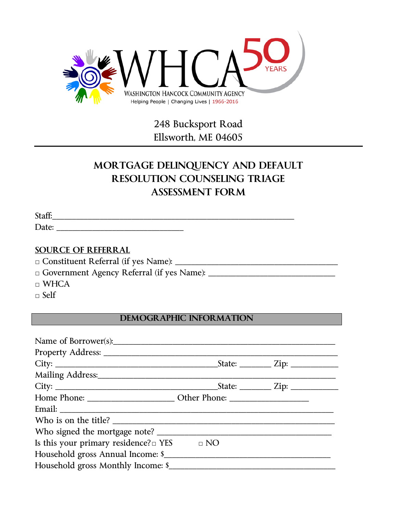

## 248 Bucksport Road Ellsworth, ME 04605

# **MORTGAGE DELINQUENCY AND DEFAULT RESOLUTION COUNSELING TRIAGE ASSESSMENT FORM**

Staff:\_\_\_\_\_\_\_\_\_\_\_\_\_\_\_\_\_\_\_\_\_\_\_\_\_\_\_\_\_\_\_\_\_\_\_\_\_\_\_\_\_\_\_\_\_\_\_\_\_\_\_\_\_\_\_\_\_\_\_\_\_

Date: \_\_\_\_\_\_\_\_\_\_\_\_\_\_\_\_\_\_\_\_\_\_\_\_\_\_\_\_\_\_\_\_

### **SOURCE OF REFERRAL**

□ Constituent Referral (if yes Name): \_\_\_\_\_\_\_\_\_\_\_\_\_\_\_\_\_\_\_\_\_\_\_\_\_\_\_\_\_\_\_\_\_\_\_\_\_\_\_\_\_

□ Government Agency Referral (if yes Name): \_\_\_\_\_\_\_\_\_\_\_\_\_\_\_\_\_\_\_\_\_\_\_\_\_\_\_\_\_\_\_\_

□ WHCA

 $\Box$  Self

## **DEMOGRAPHIC INFORMATION**

| Who is on the title?                                 |  |
|------------------------------------------------------|--|
|                                                      |  |
| Is this your primary residence? $\Box$ YES $\Box$ NO |  |
| Household gross Annual Income: \$                    |  |
| Household gross Monthly Income: \$                   |  |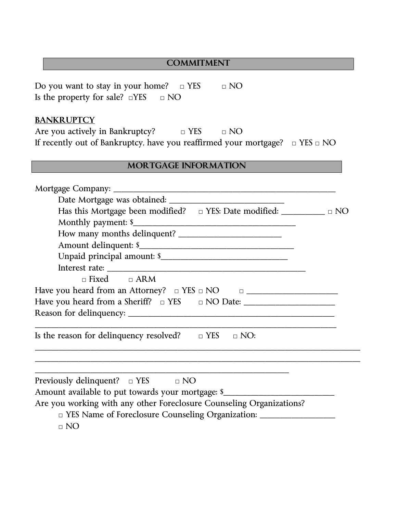#### **COMMITMENT**

Do you want to stay in your home?  $□$  YES  $□$  NO Is the property for sale?  $\square$ YES  $\square$  NO

## **BANKRUPTCY**

Are you actively in Bankruptcy?  $\Box$  YES  $\Box$  NO If recently out of Bankruptcy, have you reaffirmed your mortgage? □ YES □ NO

## **MORTGAGE INFORMATION**

| Has this Mortgage been modified? $\Box$ YES: Date modified: $\Box$               |
|----------------------------------------------------------------------------------|
|                                                                                  |
|                                                                                  |
|                                                                                  |
|                                                                                  |
|                                                                                  |
| $\Box$ Fixed $\Box$ ARM                                                          |
|                                                                                  |
|                                                                                  |
|                                                                                  |
| Is the reason for delinquency resolved? $\Box$ YES $\Box$ NO:                    |
|                                                                                  |
| Previously delinquent? $\Box$ YES $\Box$ NO                                      |
| Amount available to put towards your mortgage: \$                                |
| Are you working with any other Foreclosure Counseling Organizations?             |
| □ YES Name of Foreclosure Counseling Organization: _____________________________ |
| $\Box$ NO                                                                        |